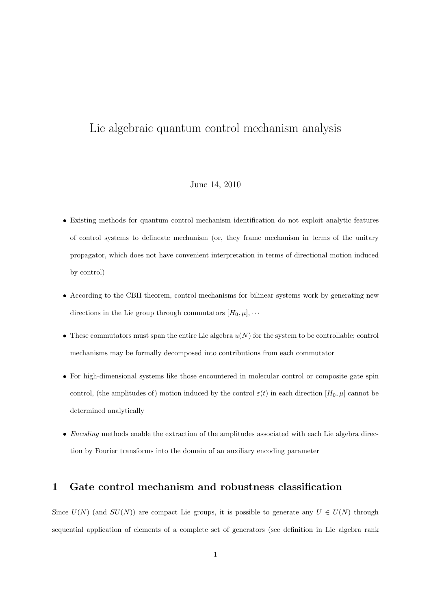### Lie algebraic quantum control mechanism analysis

#### June 14, 2010

- Existing methods for quantum control mechanism identification do not exploit analytic features of control systems to delineate mechanism (or, they frame mechanism in terms of the unitary propagator, which does not have convenient interpretation in terms of directional motion induced by control)
- According to the CBH theorem, control mechanisms for bilinear systems work by generating new directions in the Lie group through commutators  $[H_0, \mu], \cdots$
- *•* These commutators must span the entire Lie algebra *u*(*N*) for the system to be controllable; control mechanisms may be formally decomposed into contributions from each commutator
- For high-dimensional systems like those encountered in molecular control or composite gate spin control, (the amplitudes of) motion induced by the control  $\varepsilon(t)$  in each direction  $[H_0, \mu]$  cannot be determined analytically
- *Encoding* methods enable the extraction of the amplitudes associated with each Lie algebra direction by Fourier transforms into the domain of an auxiliary encoding parameter

### **1 Gate control mechanism and robustness classification**

Since  $U(N)$  (and  $SU(N)$ ) are compact Lie groups, it is possible to generate any  $U \in U(N)$  through sequential application of elements of a complete set of generators (see definition in Lie algebra rank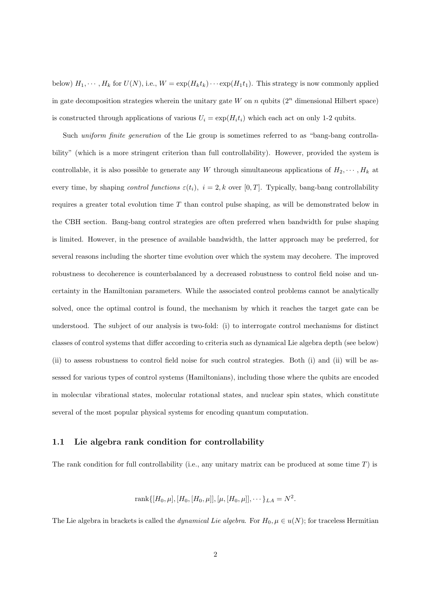below)  $H_1, \dots, H_k$  for  $U(N)$ , i.e.,  $W = \exp(H_k t_k) \dots \exp(H_1 t_1)$ . This strategy is now commonly applied in gate decomposition strategies wherein the unitary gate *W* on *n* qubits  $(2^n)$  dimensional Hilbert space) is constructed through applications of various  $U_i = \exp(H_i t_i)$  which each act on only 1-2 qubits.

Such *uniform finite generation* of the Lie group is sometimes referred to as "bang-bang controllability" (which is a more stringent criterion than full controllability). However, provided the system is controllable, it is also possible to generate any *W* through simultaneous applications of  $H_2, \dots, H_k$  at every time, by shaping *control functions*  $\varepsilon(t_i)$ ,  $i = 2, k$  over [0, T]. Typically, bang-bang controllability requires a greater total evolution time *T* than control pulse shaping, as will be demonstrated below in the CBH section. Bang-bang control strategies are often preferred when bandwidth for pulse shaping is limited. However, in the presence of available bandwidth, the latter approach may be preferred, for several reasons including the shorter time evolution over which the system may decohere. The improved robustness to decoherence is counterbalanced by a decreased robustness to control field noise and uncertainty in the Hamiltonian parameters. While the associated control problems cannot be analytically solved, once the optimal control is found, the mechanism by which it reaches the target gate can be understood. The subject of our analysis is two-fold: (i) to interrogate control mechanisms for distinct classes of control systems that differ according to criteria such as dynamical Lie algebra depth (see below) (ii) to assess robustness to control field noise for such control strategies. Both (i) and (ii) will be assessed for various types of control systems (Hamiltonians), including those where the qubits are encoded in molecular vibrational states, molecular rotational states, and nuclear spin states, which constitute several of the most popular physical systems for encoding quantum computation.

#### **1.1 Lie algebra rank condition for controllability**

The rank condition for full controllability (i.e., any unitary matrix can be produced at some time *T*) is

rank
$$
\{[H_0, \mu], [H_0, [H_0, \mu]], [\mu, [H_0, \mu]], \cdots \}_{LA} = N^2.
$$

The Lie algebra in brackets is called the *dynamical Lie algebra*. For  $H_0, \mu \in u(N)$ ; for traceless Hermitian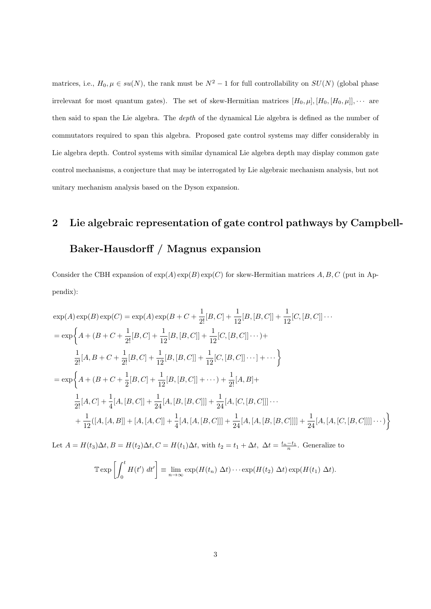matrices, i.e.,  $H_0, \mu \in su(N)$ , the rank must be  $N^2 - 1$  for full controllability on  $SU(N)$  (global phase irrelevant for most quantum gates). The set of skew-Hermitian matrices  $[H_0, \mu], [H_0, [H_0, \mu]], \cdots$  are then said to span the Lie algebra. The *depth* of the dynamical Lie algebra is defined as the number of commutators required to span this algebra. Proposed gate control systems may differ considerably in Lie algebra depth. Control systems with similar dynamical Lie algebra depth may display common gate control mechanisms, a conjecture that may be interrogated by Lie algebraic mechanism analysis, but not unitary mechanism analysis based on the Dyson expansion.

# **2 Lie algebraic representation of gate control pathways by Campbell-**

### **Baker-Hausdorff / Magnus expansion**

Consider the CBH expansion of  $exp(A) exp(B) exp(C)$  for skew-Hermitian matrices A, B, C (put in Appendix):

$$
\exp(A) \exp(B) \exp(C) = \exp(A) \exp(B + C + \frac{1}{2!} [B, C] + \frac{1}{12} [B, [B, C]] + \frac{1}{12} [C, [B, C]] \cdots
$$
  
\n
$$
= \exp\left\{A + (B + C + \frac{1}{2!} [B, C] + \frac{1}{12} [B, [B, C]] + \frac{1}{12} [C, [B, C]] \cdots \right) + \frac{1}{2!} [A, B + C + \frac{1}{2!} [B, C] + \frac{1}{12} [B, [B, C]] + \frac{1}{12} [C, [B, C]] \cdots] + \cdots \right\}
$$
  
\n
$$
= \exp\left\{A + (B + C + \frac{1}{2} [B, C] + \frac{1}{12} [B, [B, C]] + \cdots \right\} + \frac{1}{2!} [A, B] + \frac{1}{2!} [A, C] + \frac{1}{4} [A, [B, C]] + \frac{1}{24} [A, [B, [B, C]]] + \frac{1}{24} [A, [C, [B, C]]] \cdots
$$
  
\n
$$
+ \frac{1}{12} ([A, [A, B]] + [A, [A, C]] + \frac{1}{4} [A, [A, [B, C]]] + \frac{1}{24} [A, [A, [B, [B, C]]]] + \frac{1}{24} [A, [A, [C, [B, C]]]] \cdots) \right\}
$$

Let  $A = H(t_3)\Delta t$ ,  $B = H(t_2)\Delta t$ ,  $C = H(t_1)\Delta t$ , with  $t_2 = t_1 + \Delta t$ ,  $\Delta t = \frac{t_n - t_1}{n}$ . Generalize to

$$
\mathbb{T} \exp \left[ \int_0^t H(t') \ dt' \right] \equiv \lim_{n \to \infty} \exp(H(t_n) \ \Delta t) \cdots \exp(H(t_2) \ \Delta t) \exp(H(t_1) \ \Delta t).
$$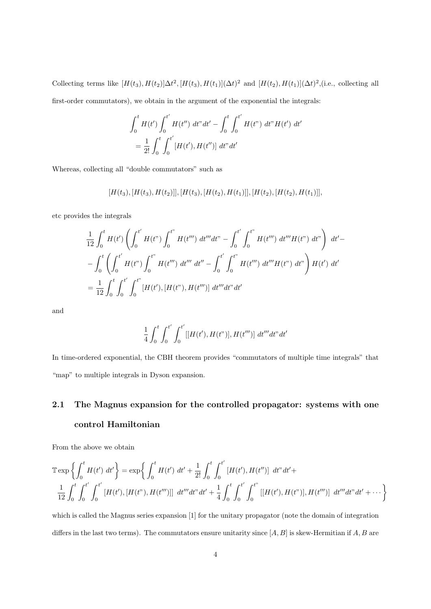Collecting terms like  $[H(t_3), H(t_2)]\Delta t^2$ ,  $[H(t_3), H(t_1)](\Delta t)^2$  and  $[H(t_2), H(t_1)](\Delta t)^2$ , (i.e., collecting all first-order commutators), we obtain in the argument of the exponential the integrals:

$$
\int_0^t H(t') \int_0^{t'} H(t'') dt'' dt' - \int_0^t \int_0^{t'} H(t'') dt'' H(t') dt'
$$
  
=  $\frac{1}{2!} \int_0^t \int_0^{t'} [H(t'), H(t'')] dt'' dt'$ 

Whereas, collecting all "double commutators" such as

 $[H(t_3), [H(t_3), H(t_2)]], [H(t_3), [H(t_2), H(t_1)]], [H(t_2), [H(t_2), H(t_1)]],$ 

etc provides the integrals

$$
\frac{1}{12} \int_0^t H(t') \left( \int_0^{t'} H(t'') \int_0^{t''} H(t''') dt''' dt'' - \int_0^{t'} \int_0^{t''} H(t''') dt''' H(t'') dt'' \right) dt' -
$$
\n
$$
- \int_0^t \left( \int_0^{t'} H(t'') \int_0^{t''} H(t''') dt''' dt'' - \int_0^{t'} \int_0^{t''} H(t''') dt''' H(t'') dt'' \right) H(t') dt'
$$
\n
$$
= \frac{1}{12} \int_0^t \int_0^{t'} \int_0^{t''} [H(t'), [H(t''), H(t''')] dt''' dt'' dt'
$$

and

$$
\frac{1}{4} \int_0^t \int_0^{t'} \int_0^{t'} [[H(t'), H(t'')], H(t''')] dt''' dt'' dt'
$$

In time-ordered exponential, the CBH theorem provides "commutators of multiple time integrals" that "map" to multiple integrals in Dyson expansion.

## **2.1 The Magnus expansion for the controlled propagator: systems with one control Hamiltonian**

From the above we obtain

$$
\mathbb{T} \exp \left\{ \int_0^t H(t') dt' \right\} = \exp \left\{ \int_0^t H(t') dt' + \frac{1}{2!} \int_0^t \int_0^{t'} [H(t'), H(t'')] dt'' dt' + \frac{1}{12} \int_0^t \int_0^{t'} [H(t'), H(t'')] dt'' dt' + \frac{1}{12} \int_0^t \int_0^{t'} \int_0^{t''} [[H(t'), H(t'')], H(t''')] dt'''' dt' + \cdots \right\}
$$

which is called the Magnus series expansion [1] for the unitary propagator (note the domain of integration differs in the last two terms). The commutators ensure unitarity since [*A, B*] is skew-Hermitian if *A, B* are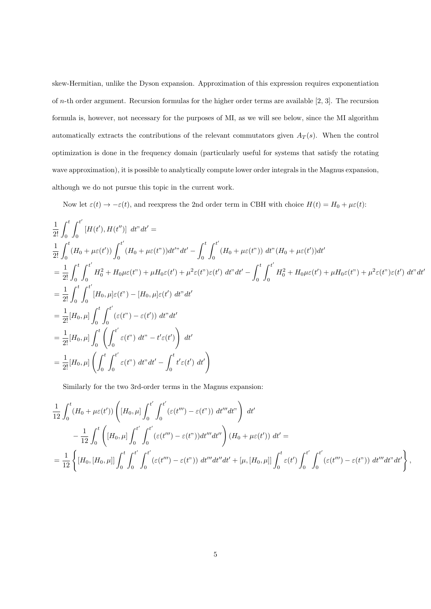skew-Hermitian, unlike the Dyson expansion. Approximation of this expression requires exponentiation of *n*-th order argument. Recursion formulas for the higher order terms are available [2, 3]. The recursion formula is, however, not necessary for the purposes of MI, as we will see below, since the MI algorithm automatically extracts the contributions of the relevant commutators given  $A_T(s)$ . When the control optimization is done in the frequency domain (particularly useful for systems that satisfy the rotating wave approximation), it is possible to analytically compute lower order integrals in the Magnus expansion, although we do not pursue this topic in the current work.

Now let  $\varepsilon(t) \to -\varepsilon(t)$ , and reexpress the 2nd order term in CBH with choice  $H(t) = H_0 + \mu \varepsilon(t)$ :

$$
\frac{1}{2!} \int_{0}^{t} \int_{0}^{t'} \left[ H(t'), H(t'') \right] dt'' dt' =
$$
\n
$$
\frac{1}{2!} \int_{0}^{t} (H_{0} + \mu \varepsilon(t')) \int_{0}^{t'} (H_{0} + \mu \varepsilon(t'')) dt'' dt' - \int_{0}^{t} \int_{0}^{t'} (H_{0} + \mu \varepsilon(t'')) dt'' (H_{0} + \mu \varepsilon(t')) dt'
$$
\n
$$
= \frac{1}{2!} \int_{0}^{t} \int_{0}^{t'} H_{0}^{2} + H_{0}\mu \varepsilon(t'') + \mu H_{0}\varepsilon(t') + \mu^{2}\varepsilon(t'')\varepsilon(t') dt'' dt' - \int_{0}^{t} \int_{0}^{t'} H_{0}^{2} + H_{0}\mu \varepsilon(t') + \mu H_{0}\varepsilon(t'') + \mu^{2}\varepsilon(t'')\varepsilon(t') dt'' dt'
$$
\n
$$
= \frac{1}{2!} \int_{0}^{t} \int_{0}^{t'} \left[ H_{0}, \mu \right] \varepsilon(t'') - \left[ H_{0}, \mu \right] \varepsilon(t') dt'' dt'
$$
\n
$$
= \frac{1}{2!} \left[ H_{0}, \mu \right] \int_{0}^{t} \int_{0}^{t'} \left( \varepsilon(t'') - \varepsilon(t') \right) dt'' dt'
$$
\n
$$
= \frac{1}{2!} \left[ H_{0}, \mu \right] \left( \int_{0}^{t'} \int_{0}^{t'} \varepsilon(t'') dt'' - \int_{0}^{t} t'\varepsilon(t') dt' \right)
$$

Similarly for the two 3rd-order terms in the Magnus expansion:

$$
\frac{1}{12} \int_0^t (H_0 + \mu \varepsilon(t')) \left( [H_0, \mu] \int_0^{t'} \int_0^{t'} (\varepsilon(t''') - \varepsilon(t'')) dt''' dt'' \right) dt' \n- \frac{1}{12} \int_0^t \left( [H_0, \mu] \int_0^{t'} \int_0^{t'} (\varepsilon(t''') - \varepsilon(t'')) dt''' dt'' \right) (H_0 + \mu \varepsilon(t')) dt' = \n= \frac{1}{12} \left\{ [H_0, [H_0, \mu]] \int_0^t \int_0^{t'} \int_0^{t'} (\varepsilon(t''') - \varepsilon(t'')) dt''' dt'' dt' + [\mu, [H_0, \mu]] \int_0^t \varepsilon(t') \int_0^{t'} \int_0^{t'} (\varepsilon(t''') - \varepsilon(t'')) dt'''' dt'' dt' \right\},
$$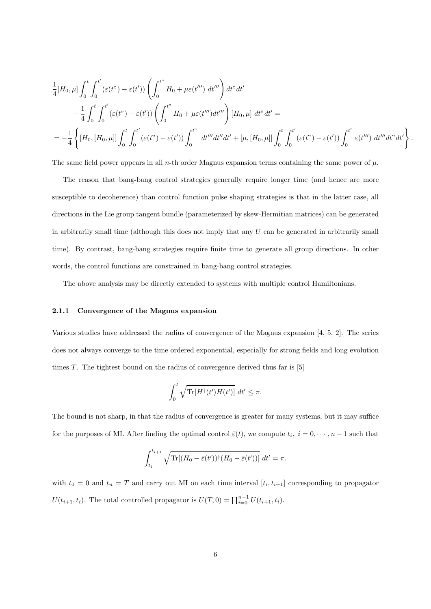$$
\frac{1}{4}[H_0,\mu] \int_0^t \int_0^{t'} (\varepsilon(t^{\nu}) - \varepsilon(t^{\prime})) \left( \int_0^{t^{\nu}} H_0 + \mu \varepsilon(t^{\prime \prime \prime}) dt^{\prime \prime \prime} \right) dt^{\nu} dt^{\prime}
$$
\n
$$
- \frac{1}{4} \int_0^t \int_0^{t'} (\varepsilon(t^{\nu}) - \varepsilon(t^{\prime})) \left( \int_0^{t^{\nu}} H_0 + \mu \varepsilon(t^{\prime \prime \prime}) dt^{\prime \prime \prime} \right) [H_0, \mu] dt^{\nu} dt^{\prime} =
$$
\n
$$
= -\frac{1}{4} \left\{ [H_0, [H_0, \mu]] \int_0^t \int_0^{t'} (\varepsilon(t^{\nu}) - \varepsilon(t^{\prime})) \int_0^{t^{\nu}} dt^{\prime \prime \prime} dt^{\prime} + [\mu, [H_0, \mu]] \int_0^t \int_0^{t'} (\varepsilon(t^{\nu}) - \varepsilon(t^{\prime})) \int_0^{t^{\nu}} \varepsilon(t^{\prime \prime \prime}) dt^{\prime \prime \prime} dt^{\prime} \right\}
$$

*.*

The same field power appears in all *n*-th order Magnus expansion terms containing the same power of  $\mu$ .

The reason that bang-bang control strategies generally require longer time (and hence are more susceptible to decoherence) than control function pulse shaping strategies is that in the latter case, all directions in the Lie group tangent bundle (parameterized by skew-Hermitian matrices) can be generated in arbitrarily small time (although this does not imply that any *U* can be generated in arbitrarily small time). By contrast, bang-bang strategies require finite time to generate all group directions. In other words, the control functions are constrained in bang-bang control strategies.

The above analysis may be directly extended to systems with multiple control Hamiltonians.

#### **2.1.1 Convergence of the Magnus expansion**

Various studies have addressed the radius of convergence of the Magnus expansion [4, 5, 2]. The series does not always converge to the time ordered exponential, especially for strong fields and long evolution times *T*. The tightest bound on the radius of convergence derived thus far is [5]

$$
\int_0^t \sqrt{\text{Tr}[H^\dagger(t')H(t')]}\ dt'\leq \pi.
$$

The bound is not sharp, in that the radius of convergence is greater for many systems, but it may suffice for the purposes of MI. After finding the optimal control  $\bar{\varepsilon}(t)$ , we compute  $t_i$ ,  $i = 0, \dots, n-1$  such that

$$
\int_{t_i}^{t_{i+1}} \sqrt{\text{Tr}[(H_0 - \bar{\varepsilon}(t'))^{\dagger} (H_0 - \bar{\varepsilon}(t'))]} dt' = \pi.
$$

with  $t_0 = 0$  and  $t_n = T$  and carry out MI on each time interval  $[t_i, t_{i+1}]$  corresponding to propagator *U*( $t_{i+1}, t_i$ ). The total controlled propagator is  $U(T, 0) = \prod_{i=0}^{n-1} U(t_{i+1}, t_i)$ .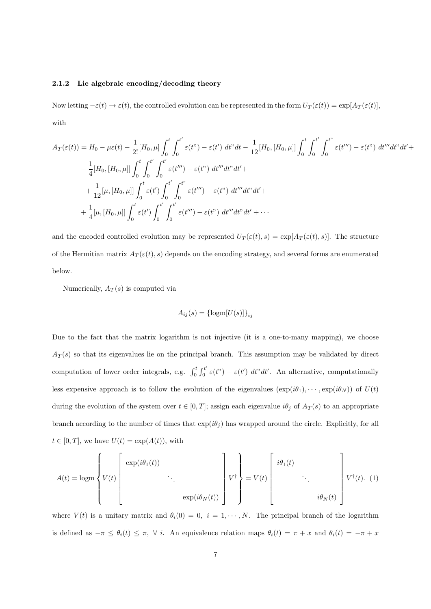#### **2.1.2 Lie algebraic encoding/decoding theory**

Now letting  $-\varepsilon(t) \to \varepsilon(t)$ , the controlled evolution can be represented in the form  $U_T(\varepsilon(t)) = \exp[A_T(\varepsilon(t)],$ with

$$
A_T(\varepsilon(t)) = H_0 - \mu \varepsilon(t) - \frac{1}{2!} [H_0, \mu] \int_0^t \int_0^{t'} \varepsilon(t'') - \varepsilon(t') dt'' dt - \frac{1}{12} [H_0, [H_0, \mu]] \int_0^t \int_0^{t'} \int_0^{t''} \varepsilon(t''') - \varepsilon(t'') dt''' dt' dt' +
$$
  

$$
- \frac{1}{4} [H_0, [H_0, \mu]] \int_0^t \int_0^{t'} \int_0^{t'} \varepsilon(t''') - \varepsilon(t'') dt''' dt'' dt' +
$$
  

$$
+ \frac{1}{12} [\mu, [H_0, \mu]] \int_0^t \varepsilon(t') \int_0^{t'} \int_0^{t''} \varepsilon(t''') - \varepsilon(t'') dt''' dt'' dt' +
$$
  

$$
+ \frac{1}{4} [\mu, [H_0, \mu]] \int_0^t \varepsilon(t') \int_0^{t'} \int_0^{t'} \varepsilon(t''') - \varepsilon(t'') dt''' dt'' dt' + \cdots
$$

and the encoded controlled evolution may be represented  $U_T(\varepsilon(t), s) = \exp[A_T(\varepsilon(t), s)]$ . The structure of the Hermitian matrix  $A_T(\varepsilon(t), s)$  depends on the encoding strategy, and several forms are enumerated below.

Numerically,  $A_T(s)$  is computed via

$$
A_{ij}(s) = {\lbrace \text{logm}[U(s)] \rbrace}_{ij}
$$

Due to the fact that the matrix logarithm is not injective (it is a one-to-many mapping), we choose  $A_T(s)$  so that its eigenvalues lie on the principal branch. This assumption may be validated by direct computation of lower order integrals, e.g.  $\int_0^t \int_0^{t'}$  $\int_0^L \varepsilon(t^{\prime\prime}) - \varepsilon(t^{\prime}) dt^{\prime\prime} dt^{\prime}$ . An alternative, computationally less expensive approach is to follow the evolution of the eigenvalues  $(\exp(i\theta_1), \cdots, \exp(i\theta_N))$  of  $U(t)$ during the evolution of the system over  $t \in [0, T]$ ; assign each eigenvalue  $i\theta_j$  of  $A_T(s)$  to an appropriate branch according to the number of times that  $\exp(i\theta_j)$  has wrapped around the circle. Explicitly, for all  $t \in [0, T]$ , we have  $U(t) = \exp(A(t))$ , with

$$
A(t) = \log m \left\{ V(t) \left[ \begin{array}{ccc} \exp(i\theta_1(t)) & & & \\ & \ddots & & \\ & & \exp(i\theta_N(t)) \end{array} \right] V^{\dagger} \right\} = V(t) \left[ \begin{array}{ccc} i\theta_1(t) & & & \\ & \ddots & \\ & & i\theta_N(t) \end{array} \right] V^{\dagger}(t). (1)
$$

where  $V(t)$  is a unitary matrix and  $\theta_i(0) = 0$ ,  $i = 1, \dots, N$ . The principal branch of the logarithm is defined as  $-\pi \leq \theta_i(t) \leq \pi$ ,  $\forall i$ . An equivalence relation maps  $\theta_i(t) = \pi + x$  and  $\theta_i(t) = -\pi + x$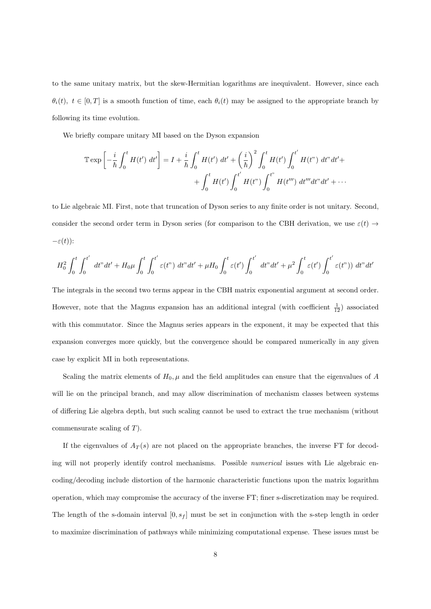to the same unitary matrix, but the skew-Hermitian logarithms are inequivalent. However, since each  $\theta_i(t)$ ,  $t \in [0, T]$  is a smooth function of time, each  $\theta_i(t)$  may be assigned to the appropriate branch by following its time evolution.

We briefly compare unitary MI based on the Dyson expansion

$$
\mathbb{T} \exp \left[ -\frac{i}{\hbar} \int_0^t H(t') dt' \right] = I + \frac{i}{\hbar} \int_0^t H(t') dt' + \left( \frac{i}{\hbar} \right)^2 \int_0^t H(t') \int_0^{t'} H(t'') dt'' dt' +
$$
  
+ 
$$
\int_0^t H(t') \int_0^{t'} H(t'') \int_0^{t''} H(t''') dt''' dt'' dt' + \cdots
$$

to Lie algebraic MI. First, note that truncation of Dyson series to any finite order is not unitary. Second, consider the second order term in Dyson series (for comparison to the CBH derivation, we use  $\varepsilon(t) \rightarrow$ *−ε*(*t*)):

$$
H_0^2 \int_0^t \int_0^{t'} dt'' dt' + H_0 \mu \int_0^t \int_0^{t'} \varepsilon(t'') dt'' dt' + \mu H_0 \int_0^t \varepsilon(t') \int_0^{t'} dt'' dt' + \mu^2 \int_0^t \varepsilon(t') \int_0^{t'} \varepsilon(t'')) dt'' dt'
$$

The integrals in the second two terms appear in the CBH matrix exponential argument at second order. However, note that the Magnus expansion has an additional integral (with coefficient  $\frac{1}{12}$ ) associated with this commutator. Since the Magnus series appears in the exponent, it may be expected that this expansion converges more quickly, but the convergence should be compared numerically in any given case by explicit MI in both representations.

Scaling the matrix elements of  $H_0$ ,  $\mu$  and the field amplitudes can ensure that the eigenvalues of *A* will lie on the principal branch, and may allow discrimination of mechanism classes between systems of differing Lie algebra depth, but such scaling cannot be used to extract the true mechanism (without commensurate scaling of *T*).

If the eigenvalues of  $A_T(s)$  are not placed on the appropriate branches, the inverse FT for decoding will not properly identify control mechanisms. Possible *numerical* issues with Lie algebraic encoding/decoding include distortion of the harmonic characteristic functions upon the matrix logarithm operation, which may compromise the accuracy of the inverse FT; finer s-discretization may be required. The length of the s-domain interval [0*, s<sup>f</sup>* ] must be set in conjunction with the s-step length in order to maximize discrimination of pathways while minimizing computational expense. These issues must be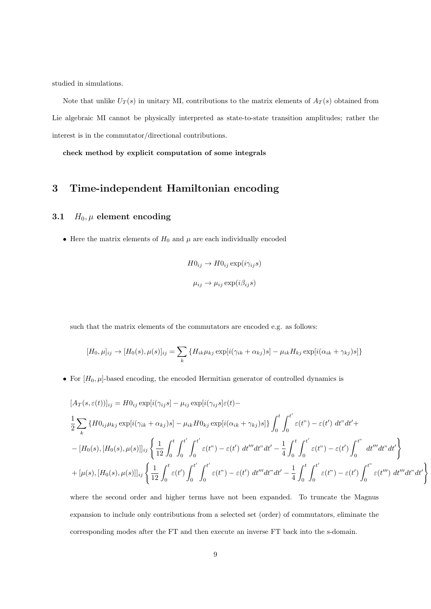studied in simulations.

Note that unlike  $U_T(s)$  in unitary MI, contributions to the matrix elements of  $A_T(s)$  obtained from Lie algebraic MI cannot be physically interpreted as state-to-state transition amplitudes; rather the interest is in the commutator/directional contributions.

**check method by explicit computation of some integrals**

### **3 Time-independent Hamiltonian encoding**

#### **3.1**  $H_0$ ,  $\mu$  **element encoding**

• Here the matrix elements of  $H_0$  and  $\mu$  are each individually encoded

$$
H0_{ij} \to H0_{ij} \exp(i\gamma_{ij}s)
$$
  

$$
\mu_{ij} \to \mu_{ij} \exp(i\beta_{ij}s)
$$

such that the matrix elements of the commutators are encoded e.g. as follows:

$$
[H_0, \mu]_{ij} \rightarrow [H_0(s), \mu(s)]_{ij} = \sum_k \{H_{ik}\mu_{kj} \exp[i(\gamma_{ik} + \alpha_{kj})s] - \mu_{ik}H_{kj} \exp[i(\alpha_{ik} + \gamma_{kj})s]\}
$$

*•* For [*H*0*, µ*]-based encoding, the encoded Hermitian generator of controlled dynamics is

$$
[A_T(s,\varepsilon(t))]_{ij} = H0_{ij} \exp[i(\gamma_{ij}s] - \mu_{ij} \exp[i(\gamma_{ij}s]\varepsilon(t) -
$$
  
\n
$$
\frac{1}{2} \sum_{k} \{H0_{ij}\mu_{kj} \exp[i(\gamma_{ik} + \alpha_{kj})s] - \mu_{ik}H0_{kj} \exp[i(\alpha_{ik} + \gamma_{kj})s]\} \int_{0}^{t} \int_{0}^{t'} \varepsilon(t^{n}) - \varepsilon(t^{n}) dt^{n} dt^{n} +
$$
  
\n
$$
-[H_0(s), [H_0(s), \mu(s)]]_{ij} \left\{ \frac{1}{12} \int_{0}^{t} \int_{0}^{t'} \int_{0}^{t'} \varepsilon(t^{n}) - \varepsilon(t^{n}) dt^{n} dt^{n} dt^{n} - \frac{1}{4} \int_{0}^{t} \int_{0}^{t'} \varepsilon(t^{n}) - \varepsilon(t^{n}) \int_{0}^{t^{n}} dt^{n} dt^{n} dt^{n} \right\}
$$
  
\n
$$
+ [\mu(s), [H_0(s), \mu(s)]]_{ij} \left\{ \frac{1}{12} \int_{0}^{t} \varepsilon(t^{n}) \int_{0}^{t'} \int_{0}^{t'} \varepsilon(t^{n}) - \varepsilon(t^{n}) dt^{n} dt^{n} dt^{n} - \frac{1}{4} \int_{0}^{t} \int_{0}^{t'} \varepsilon(t^{n}) - \varepsilon(t^{n}) \int_{0}^{t^{n}} \varepsilon(t^{n}) dt^{n} dt^{n} dt^{n} dt^{n} \right\}
$$

 $\lambda$ 

where the second order and higher terms have not been expanded. To truncate the Magnus expansion to include only contributions from a selected set (order) of commutators, eliminate the corresponding modes after the FT and then execute an inverse FT back into the s-domain.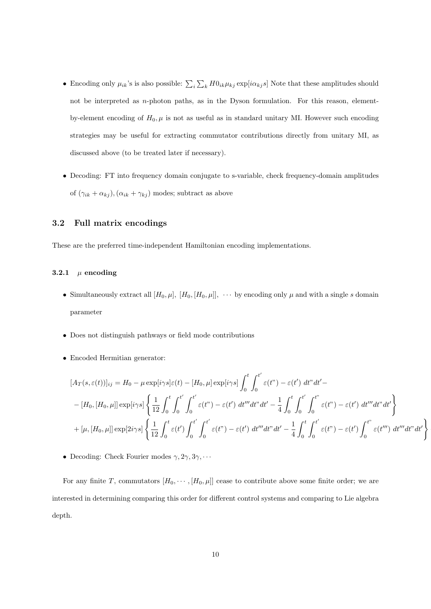- Encoding only  $\mu_{ik}$ 's is also possible:  $\sum_i \sum_k H0_{ik}\mu_{kj}$  exp[*i* $\alpha_{kj}$ *s*] Note that these amplitudes should not be interpreted as *n*-photon paths, as in the Dyson formulation. For this reason, elementby-element encoding of  $H_0$ ,  $\mu$  is not as useful as in standard unitary MI. However such encoding strategies may be useful for extracting commutator contributions directly from unitary MI, as discussed above (to be treated later if necessary).
- Decoding: FT into frequency domain conjugate to s-variable, check frequency-domain amplitudes of  $(\gamma_{ik} + \alpha_{kj}), (\alpha_{ik} + \gamma_{kj})$  modes; subtract as above

#### **3.2 Full matrix encodings**

These are the preferred time-independent Hamiltonian encoding implementations.

### **3.2.1**  $\mu$  **encoding**

- Simultaneously extract all  $[H_0, \mu]$ *,*  $[H_0, [H_0, \mu]]$ *,*  $\cdots$  by encoding only  $\mu$  and with a single *s* domain parameter
- *•* Does not distinguish pathways or field mode contributions
- *•* Encoded Hermitian generator:

$$
[A_T(s,\varepsilon(t))]_{ij} = H_0 - \mu \exp[i\gamma s] \varepsilon(t) - [H_0, \mu] \exp[i\gamma s] \int_0^t \int_0^{t'} \varepsilon(t^{\prime\prime}) - \varepsilon(t^{\prime}) dt^{\prime\prime} dt^{\prime} -- [H_0, [H_0, \mu]] \exp[i\gamma s] \left\{ \frac{1}{12} \int_0^t \int_0^{t'} \int_0^{t'} \varepsilon(t^{\prime\prime}) - \varepsilon(t^{\prime}) dt^{\prime\prime\prime} dt^{\prime\prime} dt^{\prime} - \frac{1}{4} \int_0^t \int_0^{t'} \int_0^{t^{\prime\prime}} \varepsilon(t^{\prime\prime}) - \varepsilon(t^{\prime}) dt^{\prime\prime\prime} dt^{\prime\prime} dt^{\prime} \right\} + [\mu, [H_0, \mu]] \exp[2i\gamma s] \left\{ \frac{1}{12} \int_0^t \varepsilon(t^{\prime}) \int_0^{t'} \varepsilon(t^{\prime\prime}) - \varepsilon(t^{\prime}) dt^{\prime\prime\prime} dt^{\prime\prime} dt^{\prime} - \frac{1}{4} \int_0^t \int_0^{t'} \varepsilon(t^{\prime\prime}) - \varepsilon(t^{\prime}) \int_0^{t^{\prime\prime}} \varepsilon(t^{\prime\prime\prime}) dt^{\prime\prime\prime} dt^{\prime\prime} dt^{\prime} \right\}
$$

**•** Decoding: Check Fourier modes  $\gamma$ ,  $2\gamma$ ,  $3\gamma$ ,  $\cdots$ 

For any finite *T*, commutators  $[H_0, \cdots, [H_0, \mu]]$  cease to contribute above some finite order; we are interested in determining comparing this order for different control systems and comparing to Lie algebra depth.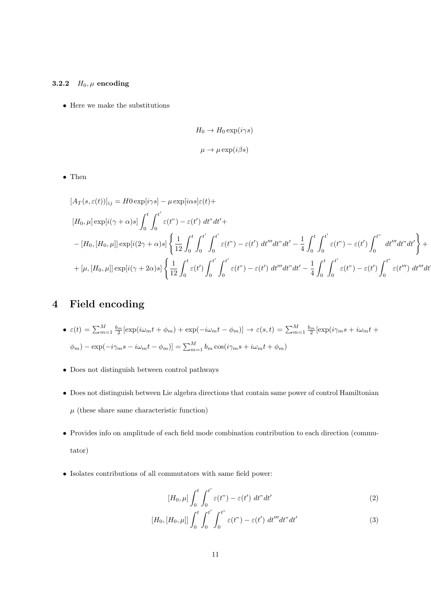### **3.2.2**  $H_0, \mu$  **encoding**

*•* Here we make the substitutions

$$
H_0 \to H_0 \exp(i\gamma s)
$$
  

$$
\mu \to \mu \exp(i\beta s)
$$

*•* Then

$$
[A_T(s,\varepsilon(t))]_{ij} = H0 \exp[i\gamma s] - \mu \exp[i\alpha s] \varepsilon(t) +
$$
  
\n
$$
[H_0, \mu] \exp[i(\gamma + \alpha)s] \int_0^t \int_0^{t'} \varepsilon(t^{\prime\prime}) - \varepsilon(t^{\prime}) dt^{\prime\prime} dt' +
$$
  
\n
$$
-[H_0, [H_0, \mu]] \exp[i(2\gamma + \alpha)s] \left\{ \frac{1}{12} \int_0^t \int_0^{t'} \int_0^{t'} \varepsilon(t^{\prime\prime}) - \varepsilon(t^{\prime}) dt^{\prime\prime\prime} dt^{\prime\prime} dt' - \frac{1}{4} \int_0^t \int_0^{t'} \varepsilon(t^{\prime\prime}) - \varepsilon(t^{\prime}) \int_0^{t^{\prime\prime}} dt^{\prime\prime\prime} dt^{\prime\prime} dt' \right\} +
$$
  
\n
$$
+ [\mu, [H_0, \mu]] \exp[i(\gamma + 2\alpha)s] \left\{ \frac{1}{12} \int_0^t \varepsilon(t^{\prime}) \int_0^{t'} \int_0^{t'} \varepsilon(t^{\prime\prime}) - \varepsilon(t^{\prime}) dt^{\prime\prime\prime} dt^{\prime\prime} dt' - \frac{1}{4} \int_0^t \int_0^{t'} \varepsilon(t^{\prime\prime}) - \varepsilon(t^{\prime}) \int_0^{t^{\prime\prime}} \varepsilon(t^{\prime\prime\prime}) dt^{\prime\prime\prime} dt' \right\} +
$$

### **4 Field encoding**

• 
$$
\varepsilon(t) = \sum_{m=1}^{M} \frac{b_m}{2} [\exp(i\omega_m t + \phi_m) + \exp(-i\omega_m t - \phi_m)] \to \varepsilon(s, t) = \sum_{m=1}^{M} \frac{b_m}{2} [\exp(i\gamma_m s + i\omega_m t + \phi_m) - \exp(-i\gamma_m s - i\omega_m t - \phi_m)] = \sum_{m=1}^{M} b_m \cos(i\gamma_m s + i\omega_m t + \phi_m)
$$

- *•* Does not distinguish between control pathways
- *•* Does not distinguish between Lie algebra directions that contain same power of control Hamiltonian  $\mu$  (these share same characteristic function)
- *•* Provides info on amplitude of each field mode combination contribution to each direction (commutator)
- *•* Isolates contributions of all commutators with same field power:

$$
[H_0, \mu] \int_0^t \int_0^{t'} \varepsilon(t^{\prime\prime}) - \varepsilon(t^{\prime}) dt^{\prime\prime} dt^{\prime}
$$
 (2)

$$
[H_0, [H_0, \mu]] \int_0^t \int_0^{t'} \int_0^{t''} \varepsilon(t'') - \varepsilon(t') dt''' dt'' dt'
$$
 (3)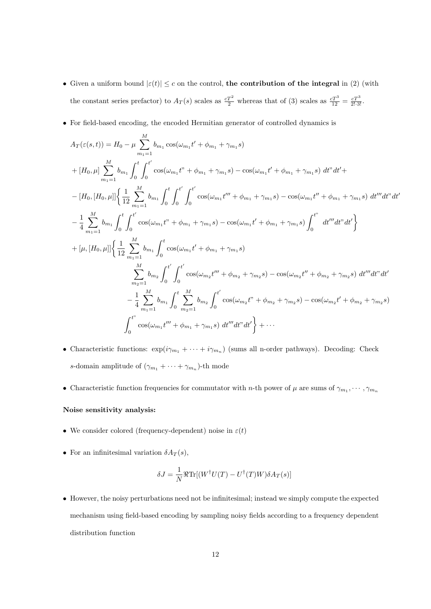- Given a uniform bound  $|\varepsilon(t)| \leq c$  on the control, the contribution of the integral in (2) (with the constant series prefactor) to  $A_T(s)$  scales as  $\frac{cT^2}{2}$  whereas that of (3) scales as  $\frac{cT^3}{12} = \frac{cT^3}{2! \cdot 3!}$ .
- For field-based encoding, the encoded Hermitian generator of controlled dynamics is

$$
A_{T}(\varepsilon(s,t)) = H_{0} - \mu \sum_{m_{1}=1}^{M} b_{m_{1}} \cos(\omega_{m_{1}}t' + \phi_{m_{1}} + \gamma_{m_{1}}s)
$$
  
+ 
$$
[H_{0},\mu] \sum_{m_{1}=1}^{M} b_{m_{1}} \int_{0}^{t} \int_{0}^{t'} \cos(\omega_{m_{1}}t'' + \phi_{m_{1}} + \gamma_{m_{1}}s) - \cos(\omega_{m_{1}}t' + \phi_{m_{1}} + \gamma_{m_{1}}s) dt'' dt' +
$$
  
- 
$$
[H_{0},[H_{0},\mu]] \Big\{ \frac{1}{12} \sum_{m_{1}=1}^{M} b_{m_{1}} \int_{0}^{t} \int_{0}^{t'} \int_{0}^{t'} \cos(\omega_{m_{1}}t'' + \phi_{m_{1}} + \gamma_{m_{1}}s) - \cos(\omega_{m_{1}}t'' + \phi_{m_{1}} + \gamma_{m_{1}}s) dt''' dt'' dt''
$$
  
- 
$$
\frac{1}{4} \sum_{m_{1}=1}^{M} b_{m_{1}} \int_{0}^{t} \int_{0}^{t'} \cos(\omega_{m_{1}}t'' + \phi_{m_{1}} + \gamma_{m_{1}}s) - \cos(\omega_{m_{1}}t' + \phi_{m_{1}} + \gamma_{m_{1}}s) \int_{0}^{t''} dt'' dt'' dt' \Big\}
$$
  
+ 
$$
[\mu,[H_{0},\mu]] \Big\{ \frac{1}{12} \sum_{m_{1}=1}^{M} b_{m_{1}} \int_{0}^{t} \cos(\omega_{m_{1}}t' + \phi_{m_{1}} + \gamma_{m_{1}}s)
$$
  

$$
\sum_{m_{2}=1}^{M} b_{m_{2}} \int_{0}^{t'} \int_{0}^{t'} \cos(\omega_{m_{2}}t'' + \phi_{m_{2}} + \gamma_{m_{2}}s) - \cos(\omega_{m_{2}}t'' + \phi_{m_{2}} + \gamma_{m_{2}}s) dt''' dt'' dt''
$$
  
- 
$$
\frac{1}{4} \sum_{m_{1}=1}^{M} b_{m_{1}} \int_{0}^{t} \sum_{m_{2}=1}^{M} b_{m_{2}} \int_{0}^{t'} \cos(\omega_{m_{2}}t'' + \phi_{m_{2}} + \gamma_{m_{2}}s) - \cos(\omega_{m_{2}}t' +
$$

- Characteristic functions:  $\exp(i\gamma_{m_1} + \cdots + i\gamma_{m_n})$  (sums all n-order pathways). Decoding: Check *s*-domain amplitude of  $(\gamma_{m_1} + \cdots + \gamma_{m_n})$ -th mode
- Characteristic function frequencies for commutator with *n*-th power of  $\mu$  are sums of  $\gamma_{m_1}, \dots, \gamma_{m_n}$

#### **Noise sensitivity analysis:**

- *•* We consider colored (frequency-dependent) noise in *ε*(*t*)
- **•** For an infinitesimal variation  $\delta A_T(s)$ ,

$$
\delta J = \frac{1}{N} \Re \text{Tr}[(W^{\dagger}U(T) - U^{\dagger}(T)W)\delta A_T(s)]
$$

*•* However, the noisy perturbations need not be infinitesimal; instead we simply compute the expected mechanism using field-based encoding by sampling noisy fields according to a frequency dependent distribution function